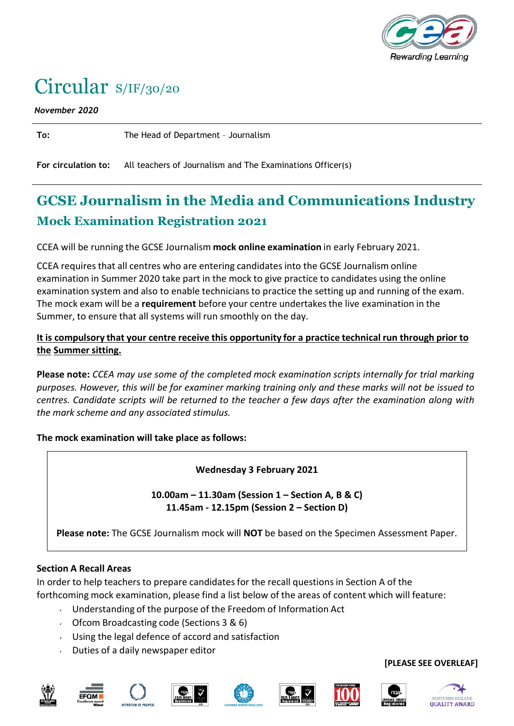

# Circular S/IF/30/20

*November 2020*

**To:** The Head of Department – Journalism

**For circulation to:** All teachers of Journalism and The Examinations Officer(s)

# **GCSE Journalism in the Media and Communications Industry Mock Examination Registration 2021**

CCEA will be running the GCSE Journalism **mock online examination** in early February 2021.

CCEA requires that all centres who are entering candidates into the GCSE Journalism online examination in Summer 2020 take part in the mock to give practice to candidates using the online examination system and also to enable technicians to practice the setting up and running of the exam. The mock exam will be a **requirement** before your centre undertakesthe live examination in the Summer, to ensure that all systems will run smoothly on the day.

## **It is compulsory that your centre receive this opportunity for a practice technical run through prior to the Summersitting.**

**Please note:** *CCEA may use some of the completed mock examination scripts internally for trial marking purposes. However, this will be for examiner marking training only and these marks will not be issued to centres. Candidate scripts will be returned to the teacher a few days after the examination along with the mark scheme and any associated stimulus.*

**The mock examination will take place as follows:**

**Wednesday 3 February 2021**

**10.00am – 11.30am (Session 1 – Section A, B & C) 11.45am - 12.15pm (Session 2 – Section D)**

**Please note:** The GCSE Journalism mock will **NOT** be based on the Specimen Assessment Paper.

#### **Section A Recall Areas**

In order to help teachers to prepare candidates for the recall questions in Section A of the forthcoming mock examination, please find a list below of the areas of content which will feature:

- Understanding of the purpose of the Freedom of Information Act
- Ofcom Broadcasting code (Sections  $3 & 6$ )
- Using the legal defence of accord and satisfaction
- $\sqrt{ }$  Duties of a daily newspaper editor